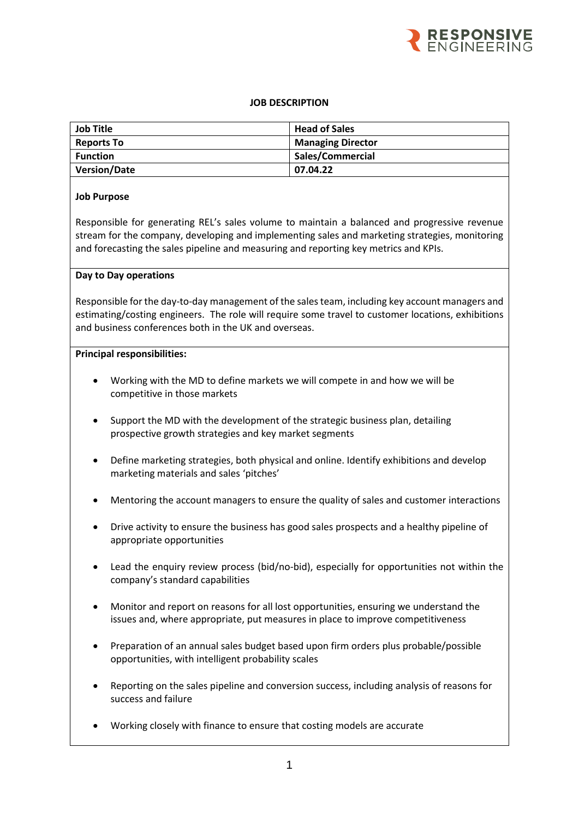

## **JOB DESCRIPTION**

| <b>Job Title</b>    | <b>Head of Sales</b>     |
|---------------------|--------------------------|
| <b>Reports To</b>   | <b>Managing Director</b> |
| <b>Function</b>     | Sales/Commercial         |
| <b>Version/Date</b> | 07.04.22                 |

## **Job Purpose**

Responsible for generating REL's sales volume to maintain a balanced and progressive revenue stream for the company, developing and implementing sales and marketing strategies, monitoring and forecasting the sales pipeline and measuring and reporting key metrics and KPIs.

#### **Day to Day operations**

Responsible for the day-to-day management of the salesteam, including key account managers and estimating/costing engineers. The role will require some travel to customer locations, exhibitions and business conferences both in the UK and overseas.

#### **Principal responsibilities:**

- Working with the MD to define markets we will compete in and how we will be competitive in those markets
- Support the MD with the development of the strategic business plan, detailing prospective growth strategies and key market segments
- Define marketing strategies, both physical and online. Identify exhibitions and develop marketing materials and sales 'pitches'
- Mentoring the account managers to ensure the quality of sales and customer interactions
- Drive activity to ensure the business has good sales prospects and a healthy pipeline of appropriate opportunities
- Lead the enquiry review process (bid/no-bid), especially for opportunities not within the company's standard capabilities
- Monitor and report on reasons for all lost opportunities, ensuring we understand the issues and, where appropriate, put measures in place to improve competitiveness
- Preparation of an annual sales budget based upon firm orders plus probable/possible opportunities, with intelligent probability scales
- Reporting on the sales pipeline and conversion success, including analysis of reasons for success and failure
- Working closely with finance to ensure that costing models are accurate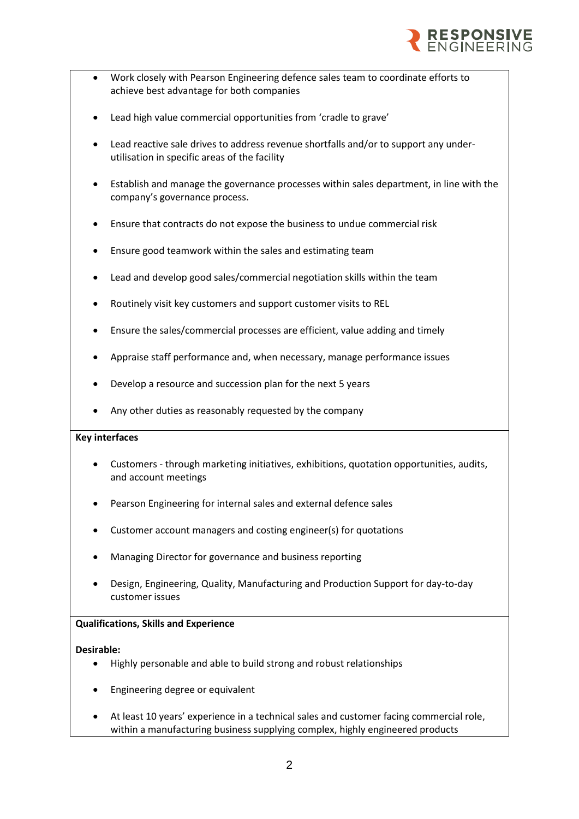

- Work closely with Pearson Engineering defence sales team to coordinate efforts to achieve best advantage for both companies
- Lead high value commercial opportunities from 'cradle to grave'
- Lead reactive sale drives to address revenue shortfalls and/or to support any underutilisation in specific areas of the facility
- Establish and manage the governance processes within sales department, in line with the company's governance process.
- Ensure that contracts do not expose the business to undue commercial risk
- Ensure good teamwork within the sales and estimating team
- Lead and develop good sales/commercial negotiation skills within the team
- Routinely visit key customers and support customer visits to REL
- Ensure the sales/commercial processes are efficient, value adding and timely
- Appraise staff performance and, when necessary, manage performance issues
- Develop a resource and succession plan for the next 5 years
- Any other duties as reasonably requested by the company

#### **Key interfaces**

- Customers through marketing initiatives, exhibitions, quotation opportunities, audits, and account meetings
- Pearson Engineering for internal sales and external defence sales
- Customer account managers and costing engineer(s) for quotations
- Managing Director for governance and business reporting
- Design, Engineering, Quality, Manufacturing and Production Support for day-to-day customer issues

# **Qualifications, Skills and Experience**

#### **Desirable:**

- Highly personable and able to build strong and robust relationships
- Engineering degree or equivalent
- At least 10 years' experience in a technical sales and customer facing commercial role, within a manufacturing business supplying complex, highly engineered products